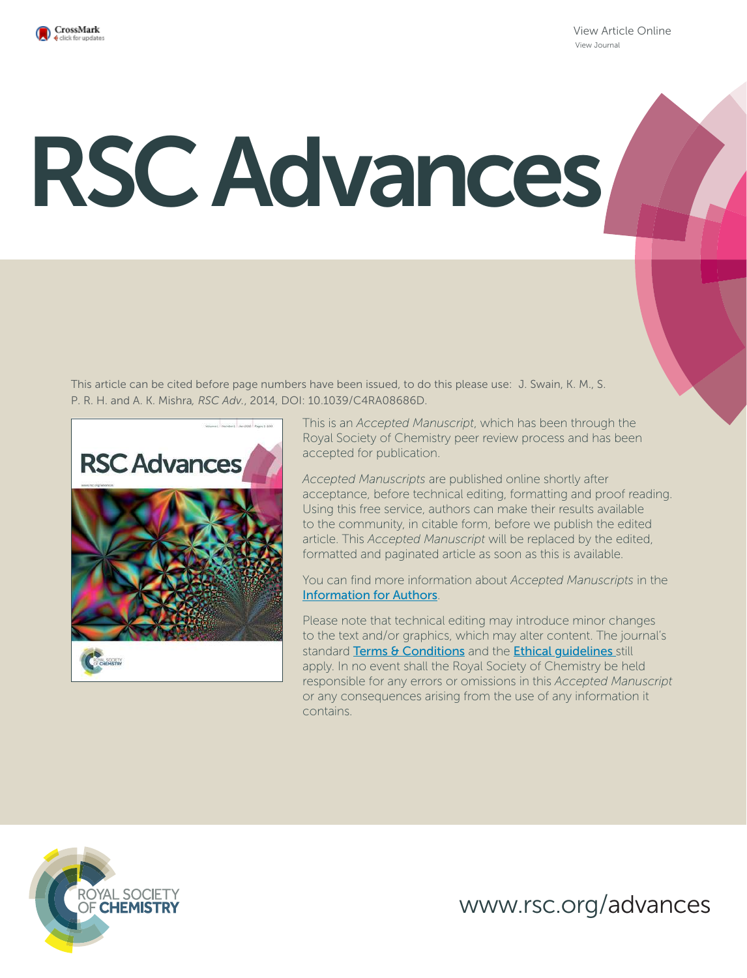

View Article Online View Journal

# RSC Advances

This article can be cited before page numbers have been issued, to do this please use: J. Swain, K. M., S. P. R. H. and A. K. Mishra*, RSC Adv.*, 2014, DOI: 10.1039/C4RA08686D.



This is an *Accepted Manuscript*, which has been through the Royal Society of Chemistry peer review process and has been accepted for publication.

*Accepted Manuscripts* are published online shortly after acceptance, before technical editing, formatting and proof reading. Using this free service, authors can make their results available to the community, in citable form, before we publish the edited article. This *Accepted Manuscript* will be replaced by the edited, formatted and paginated article as soon as this is available.

You can find more information about *Accepted Manuscripts* in the Information for Authors.

Please note that technical editing may introduce minor changes to the text and/or graphics, which may alter content. The journal's standard Terms & Conditions and the Ethical quidelines still apply. In no event shall the Royal Society of Chemistry be held responsible for any errors or omissions in this *Accepted Manuscript* or any consequences arising from the use of any information it contains.



www.rsc.org/advances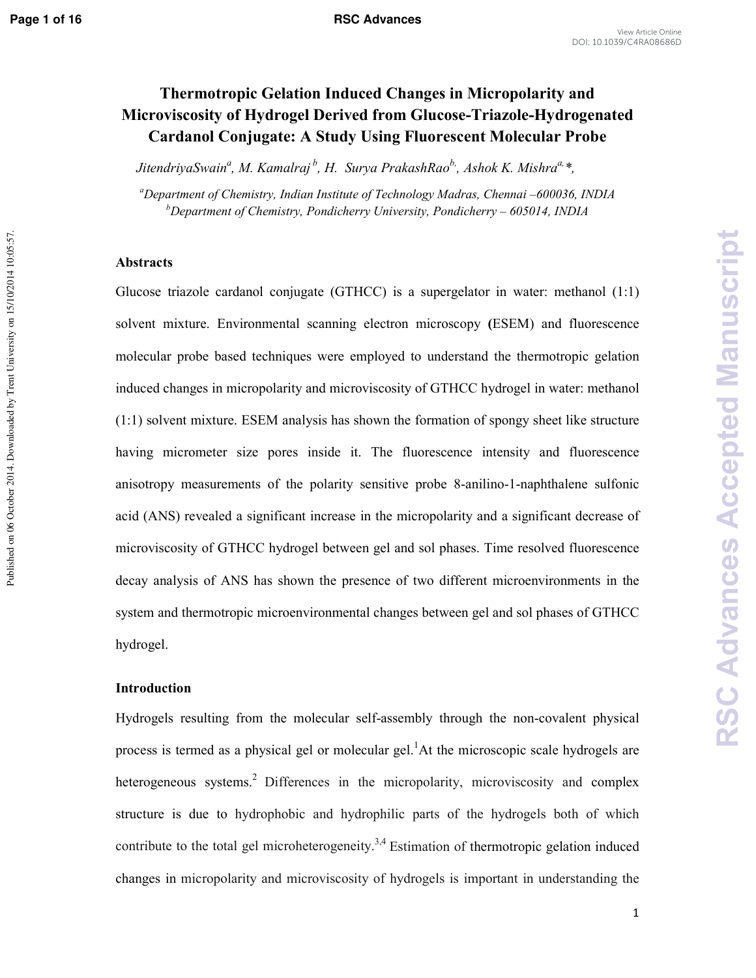Published on 06 October 2014. Downloaded by Trent University on 15/10/2014 10:05:57.

# **Thermotropic Gelation Induced Changes in Micropolarity and Microviscosity of Hydrogel Derived from GlucoseTriazoleHydrogenated Cardanol Conjugate: A Study Using Fluorescent Molecular Probe**

*JitendriyaSwain<sup>a</sup> , M. Kamalraj<sup>b</sup>, H. Surya PrakashRaob,, Ashok K. Mishraa,\*,* 

*<sup>a</sup>Department of Chemistry, Indian Institute of Technology Madras, Chennai –600036, INDIA <sup>b</sup>Department of Chemistry, Pondicherry University, Pondicherry – 605014, INDIA* 

### **Abstracts**

Glucose triazole cardanol conjugate (GTHCC) is a supergelator in water: methanol (1:1) solvent mixture. Environmental scanning electron microscopy **(**ESEM) and fluorescence molecular probe based techniques were employed to understand the thermotropic gelation induced changes in micropolarity and microviscosity of GTHCC hydrogel in water: methanol (1:1) solvent mixture. ESEM analysis has shown the formation of spongy sheet like structure having micrometer size pores inside it. The fluorescence intensity and fluorescence anisotropy measurements of the polarity sensitive probe 8-anilino-1-naphthalene sulfonic acid (ANS) revealed a significant increase in the micropolarity and a significant decrease of microviscosity of GTHCC hydrogel between gel and sol phases. Time resolved fluorescence decay analysis of ANS has shown the presence of two different microenvironments in the system and thermotropic microenvironmental changes between gel and sol phases of GTHCC hydrogel.

# **Introduction**

Hydrogels resulting from the molecular self-assembly through the non-covalent physical process is termed as a physical gel or molecular gel.<sup>1</sup>At the microscopic scale hydrogels are heterogeneous systems.<sup>2</sup> Differences in the micropolarity, microviscosity and complex structure is due to hydrophobic and hydrophilic parts of the hydrogels both of which contribute to the total gel microheterogeneity.<sup>3,4</sup> Estimation of thermotropic gelation induced changes in micropolarity and microviscosity of hydrogels is important in understanding the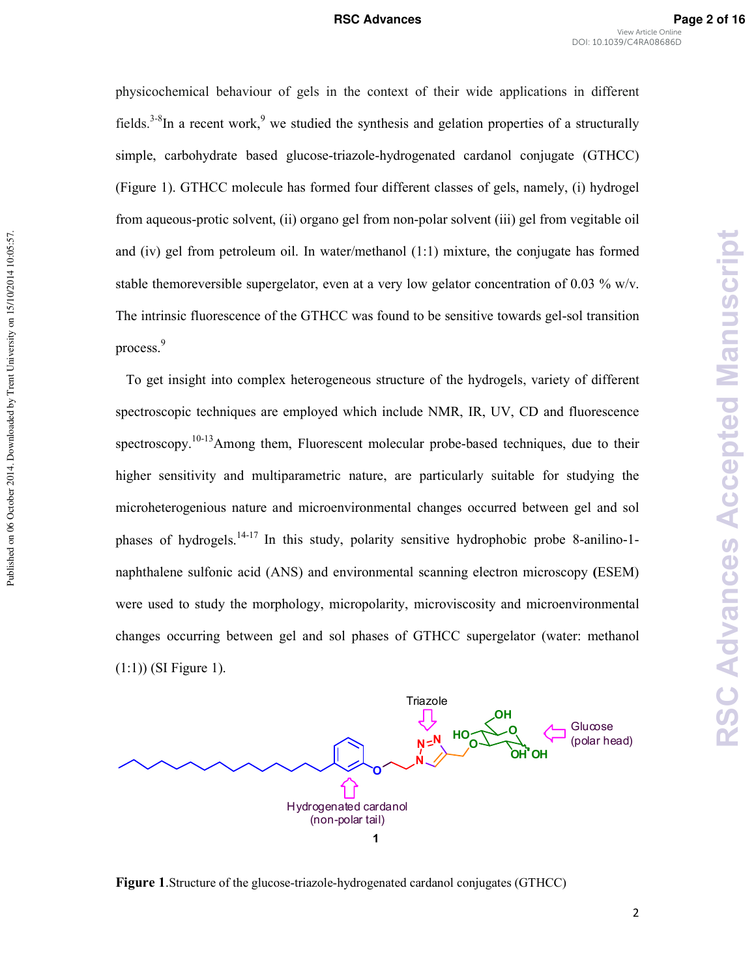physicochemical behaviour of gels in the context of their wide applications in different fields.<sup>3-8</sup>In a recent work,<sup>9</sup> we studied the synthesis and gelation properties of a structurally simple, carbohydrate based glucose-triazole-hydrogenated cardanol conjugate (GTHCC) (Figure 1). GTHCC molecule has formed four different classes of gels, namely, (i) hydrogel from aqueous-protic solvent, (ii) organo gel from non-polar solvent (iii) gel from vegitable oil and (iv) gel from petroleum oil. In water/methanol (1:1) mixture, the conjugate has formed stable themoreversible supergelator, even at a very low gelator concentration of 0.03 % w/v. The intrinsic fluorescence of the GTHCC was found to be sensitive towards gel-sol transition process.<sup>9</sup>

 To get insight into complex heterogeneous structure of the hydrogels, variety of different spectroscopic techniques are employed which include NMR, IR, UV, CD and fluorescence spectroscopy.<sup>10-13</sup>Among them, Fluorescent molecular probe-based techniques, due to their higher sensitivity and multiparametric nature, are particularly suitable for studying the microheterogenious nature and microenvironmental changes occurred between gel and sol phases of hydrogels.<sup>14-17</sup> In this study, polarity sensitive hydrophobic probe 8-anilino-1naphthalene sulfonic acid (ANS) and environmental scanning electron microscopy **(**ESEM) were used to study the morphology, micropolarity, microviscosity and microenvironmental changes occurring between gel and sol phases of GTHCC supergelator (water: methanol (1:1)) (SI Figure 1).

Published on 06 October 2014. Downloaded by Trent University on 15/10/2014 10:05:57.

Published on 06 October 2014. Downloaded by Trent University on 15/10/2014 10:05:57.



**Figure 1.** Structure of the glucose-triazole-hydrogenated cardanol conjugates (GTHCC)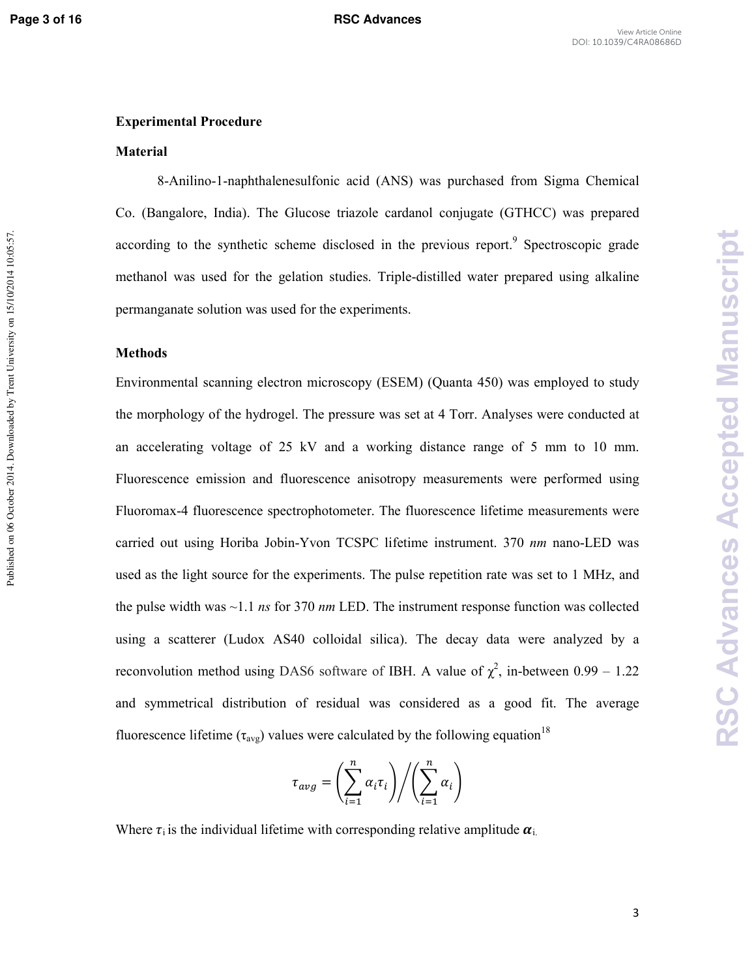Published on 06 October 2014. Downloaded by Trent University on 15/10/2014 10:05:57.

# **Experimental Procedure**

### **Material**

8)Anilino)1)naphthalenesulfonic acid (ANS) was purchased from Sigma Chemical Co. (Bangalore, India). The Glucose triazole cardanol conjugate (GTHCC) was prepared according to the synthetic scheme disclosed in the previous report.<sup>9</sup> Spectroscopic grade methanol was used for the gelation studies. Triple-distilled water prepared using alkaline permanganate solution was used for the experiments.

### **Methods**

Environmental scanning electron microscopy (ESEM) (Quanta 450) was employed to study the morphology of the hydrogel. The pressure was set at 4 Torr. Analyses were conducted at an accelerating voltage of 25 kV and a working distance range of 5 mm to 10 mm. Fluorescence emission and fluorescence anisotropy measurements were performed using Fluoromax-4 fluorescence spectrophotometer. The fluorescence lifetime measurements were carried out using Horiba Jobin-Yvon TCSPC lifetime instrument. 370 *nm* nano-LED was used as the light source for the experiments. The pulse repetition rate was set to 1 MHz, and the pulse width was ~1.1 *ns* for 370 *nm* LED. The instrument response function was collected using a scatterer (Ludox AS40 colloidal silica). The decay data were analyzed by a reconvolution method using DAS6 software of IBH. A value of  $\chi^2$ , in-between 0.99 – 1.22 and symmetrical distribution of residual was considered as a good fit. The average fluorescence lifetime ( $\tau_{avg}$ ) values were calculated by the following equation<sup>18</sup>

$$
\tau_{avg} = \left(\sum_{i=1}^{n} \alpha_i \tau_i\right) \bigg/ \left(\sum_{i=1}^{n} \alpha_i\right)
$$

Where  $\tau_i$  is the individual lifetime with corresponding relative amplitude  $\alpha_i$ .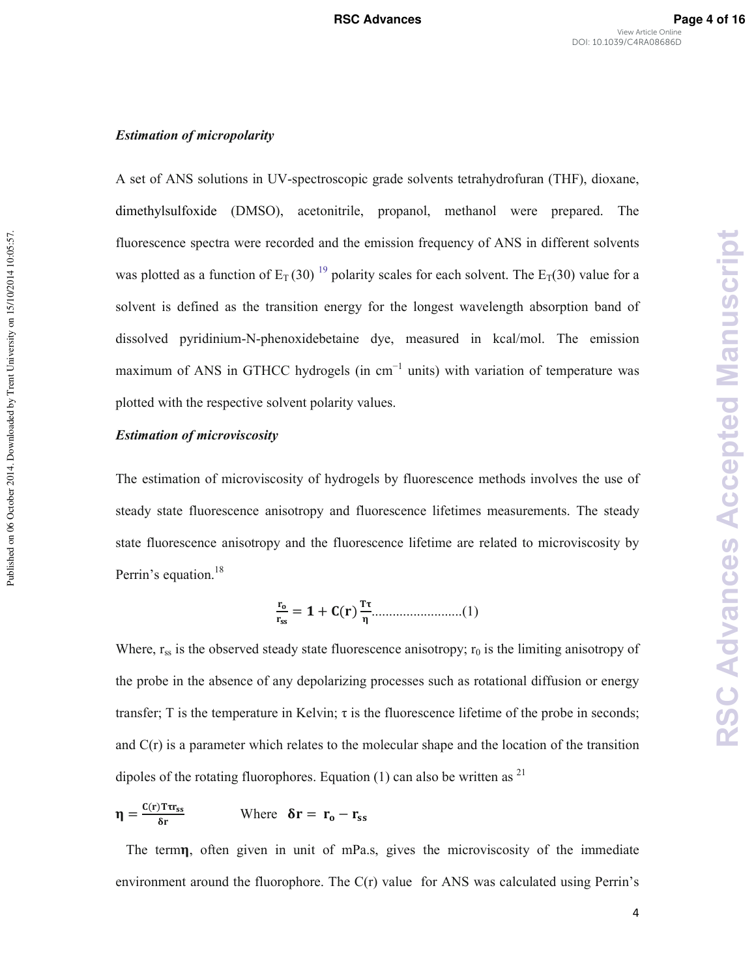### **Estimation of micropolarity**

A set of ANS solutions in UV-spectroscopic grade solvents tetrahydrofuran (THF), dioxane, dimethylsulfoxide (DMSO), acetonitrile, propanol, methanol were prepared. The fluorescence spectra were recorded and the emission frequency of ANS in different solvents was plotted as a function of  $E_T(30)$  <sup>19</sup> polarity scales for each solvent. The  $E_T(30)$  value for a solvent is defined as the transition energy for the longest wavelength absorption band of dissolved pyridinium-N-phenoxidebetaine dye, measured in kcal/mol. The emission maximum of ANS in GTHCC hydrogels (in cm<sup>-1</sup> units) with variation of temperature was plotted with the respective solvent polarity values.

### **Estimation of microviscosity**

Published on 06 October 2014. Downloaded by Trent University on 15/10/2014 10:05:57.

Published on 06 October 2014. Downloaded by Trent University on 15/10/2014 10:05:57.

The estimation of microviscosity of hydrogels by fluorescence methods involves the use of steady state fluorescence anisotropy and fluorescence lifetimes measurements. The steady state fluorescence anisotropy and the fluorescence lifetime are related to microviscosity by Perrin's equation.<sup>18</sup>

 = + () ..........................(1)

Where,  $r_{ss}$  is the observed steady state fluorescence anisotropy;  $r_0$  is the limiting anisotropy of the probe in the absence of any depolarizing processes such as rotational diffusion or energy transfer; T is the temperature in Kelvin;  $\tau$  is the fluorescence lifetime of the probe in seconds; and C(r) is a parameter which relates to the molecular shape and the location of the transition dipoles of the rotating fluorophores. Equation (1) can also be written as  $^{21}$ 

$$
\eta = \frac{C(r) \text{Tr} \mathbf{r}_{ss}}{\delta r} \qquad \text{Where } \delta \mathbf{r} = \mathbf{r}_{o} - \mathbf{r}_{ss}
$$

 The term, often given in unit of mPa.s, gives the microviscosity of the immediate environment around the fluorophore. The  $C(r)$  value for ANS was calculated using Perrin's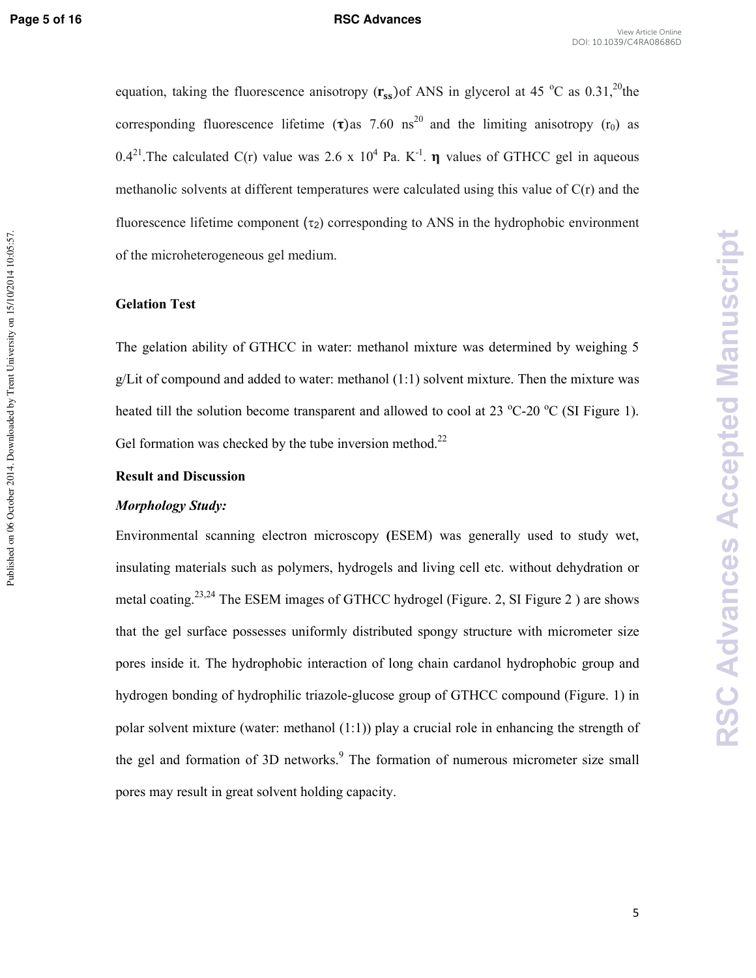Published on 06 October 2014. Downloaded by Trent University on 15/10/2014 10:05:57.

### View Article Online DOI: 10.1039/C4RA08686D

equation, taking the fluorescence anisotropy  $(r_{ss})$  of ANS in glycerol at 45 °C as 0.31,<sup>20</sup>the corresponding fluorescence lifetime ( $\tau$ ) as 7.60 ns<sup>20</sup> and the limiting anisotropy ( $r_0$ ) as 0.4<sup>21</sup>. The calculated C(r) value was 2.6 x 10<sup>4</sup> Pa. K<sup>-1</sup>.  $\eta$  values of GTHCC gel in aqueous methanolic solvents at different temperatures were calculated using this value of  $C(r)$  and the fluorescence lifetime component  $(\tau_2)$  corresponding to ANS in the hydrophobic environment of the microheterogeneous gel medium.

### **Gelation Test**

The gelation ability of GTHCC in water: methanol mixture was determined by weighing 5  $g/L$  t of compound and added to water: methanol  $(1:1)$  solvent mixture. Then the mixture was heated till the solution become transparent and allowed to cool at 23  $^{\circ}$ C-20  $^{\circ}$ C (SI Figure 1). Gel formation was checked by the tube inversion method.<sup>22</sup>

### **Result and Discussion**

### *Morphology Study:*

Environmental scanning electron microscopy **(**ESEM) was generally used to study wet, insulating materials such as polymers, hydrogels and living cell etc. without dehydration or metal coating.23,24 The ESEM images of GTHCC hydrogel (Figure. 2, SI Figure 2 ) are shows that the gel surface possesses uniformly distributed spongy structure with micrometer size pores inside it. The hydrophobic interaction of long chain cardanol hydrophobic group and hydrogen bonding of hydrophilic triazole-glucose group of GTHCC compound (Figure. 1) in polar solvent mixture (water: methanol (1:1)) play a crucial role in enhancing the strength of the gel and formation of 3D networks.<sup>9</sup> The formation of numerous micrometer size small pores may result in great solvent holding capacity.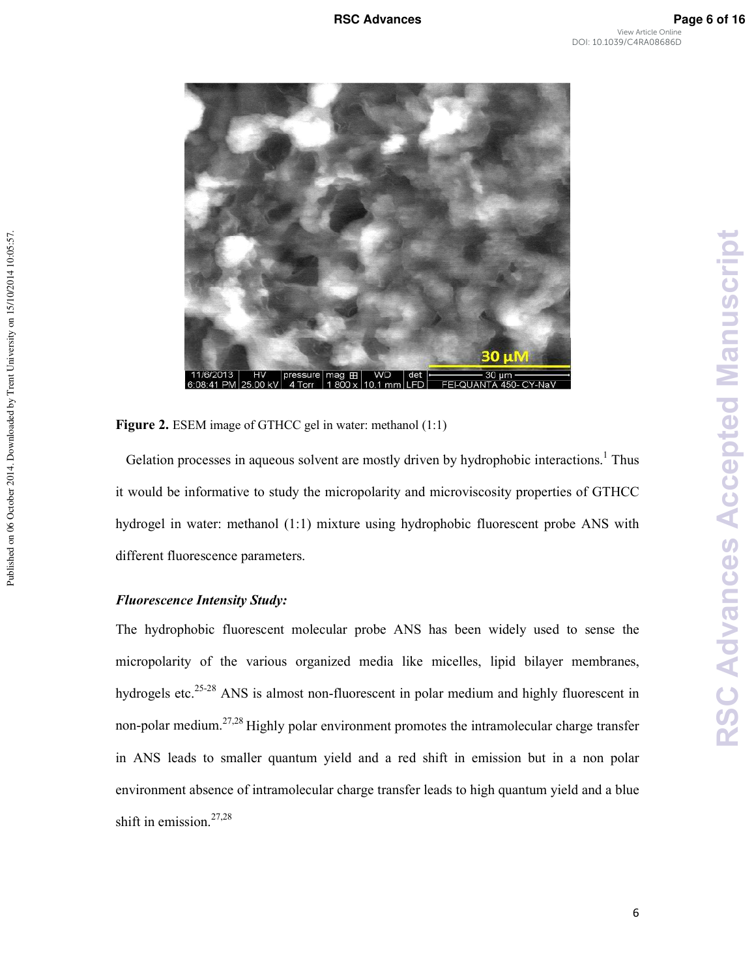**RSC Advances Accepted Manuscript**

**RSC Advances Accepted Manuscript** 



Figure 2. ESEM image of GTHCC gel in water: methanol (1:1)

Gelation processes in aqueous solvent are mostly driven by hydrophobic interactions.<sup>1</sup> Thus it would be informative to study the micropolarity and microviscosity properties of GTHCC hydrogel in water: methanol (1:1) mixture using hydrophobic fluorescent probe ANS with different fluorescence parameters.

# **Fluorescence Intensity Study:**

The hydrophobic fluorescent molecular probe ANS has been widely used to sense the micropolarity of the various organized media like micelles, lipid bilayer membranes, hydrogels etc.<sup>25-28</sup> ANS is almost non-fluorescent in polar medium and highly fluorescent in non-polar medium.<sup>27,28</sup> Highly polar environment promotes the intramolecular charge transfer in ANS leads to smaller quantum yield and a red shift in emission but in a non polar environment absence of intramolecular charge transfer leads to high quantum yield and a blue shift in emission.<sup>27,28</sup>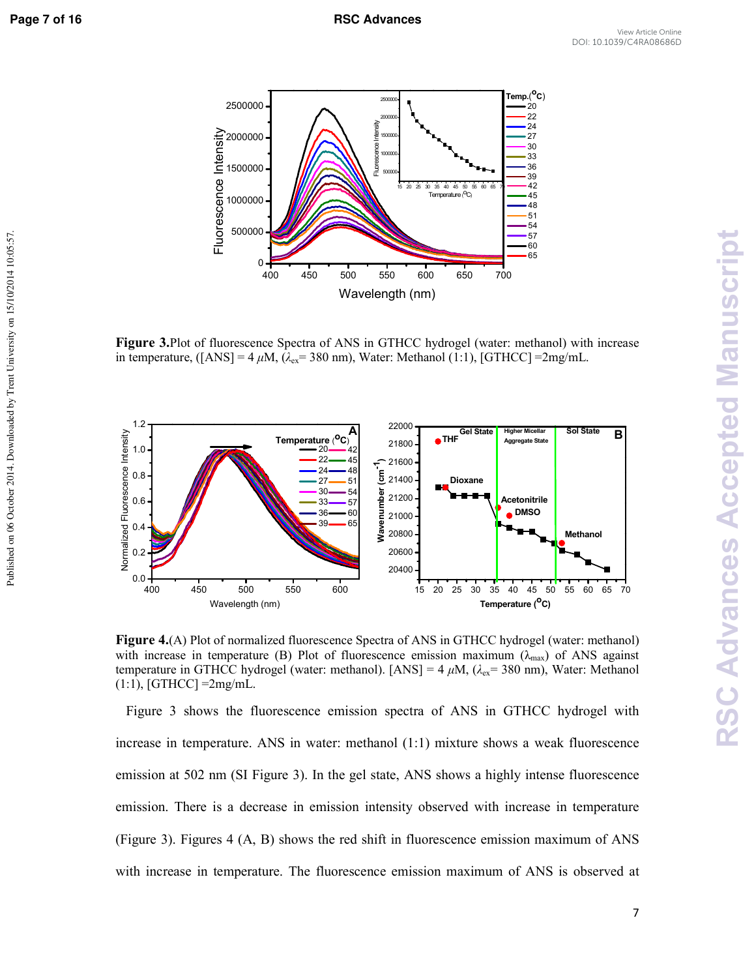Published on 06 October 2014. Downloaded by Trent University on 15/10/2014 10:05:57.



**Figure 3.**Plot of fluorescence Spectra of ANS in GTHCC hydrogel (water: methanol) with increase in temperature, ([ANS] =  $4 \mu M$ , ( $\lambda_{ex}$  = 380 nm), Water: Methanol (1:1), [GTHCC] = 2mg/mL.



**Figure 4.(A)** Plot of normalized fluorescence Spectra of ANS in GTHCC hydrogel (water: methanol) with increase in temperature (B) Plot of fluorescence emission maximum ( $\lambda_{\text{max}}$ ) of ANS against temperature in GTHCC hydrogel (water: methanol). [ANS] =  $4 \mu M$ , ( $\lambda_{ex}$  = 380 nm), Water: Methanol  $(1:1)$ , [GTHCC] = 2mg/mL.

 Figure 3 shows the fluorescence emission spectra of ANS in GTHCC hydrogel with increase in temperature. ANS in water: methanol (1:1) mixture shows a weak fluorescence emission at 502 nm (SI Figure 3). In the gel state, ANS shows a highly intense fluorescence emission. There is a decrease in emission intensity observed with increase in temperature (Figure 3). Figures 4 (A, B) shows the red shift in fluorescence emission maximum of ANS with increase in temperature. The fluorescence emission maximum of ANS is observed at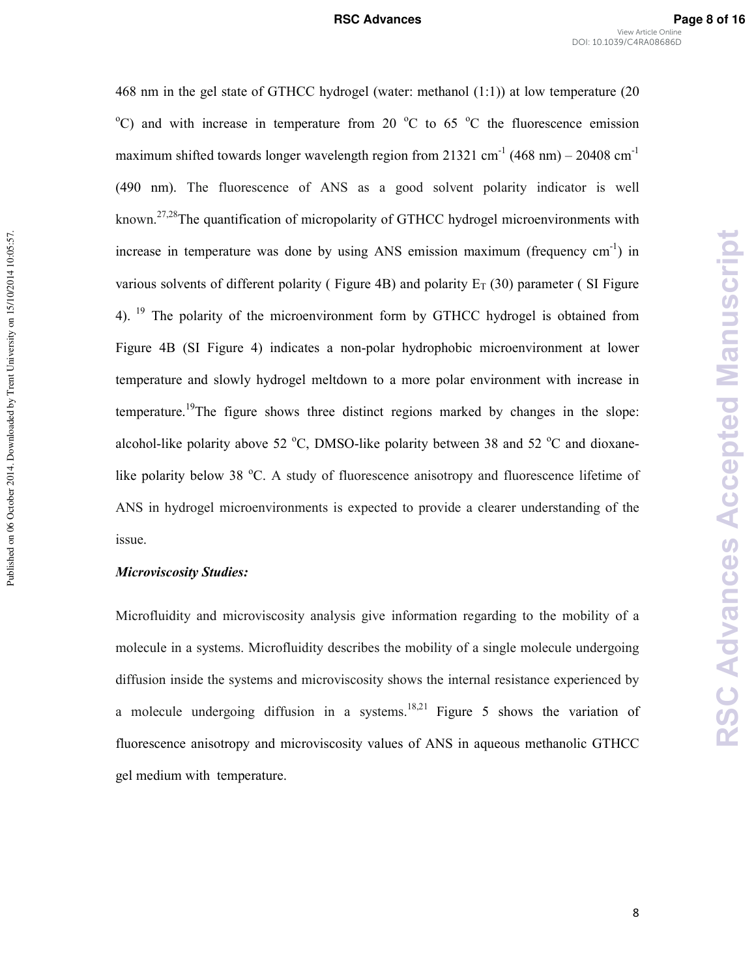468 nm in the gel state of GTHCC hydrogel (water: methanol (1:1)) at low temperature (20  $\rm{^{\circ}C}$ ) and with increase in temperature from 20  $\rm{^{\circ}C}$  to 65  $\rm{^{\circ}C}$  the fluorescence emission maximum shifted towards longer wavelength region from 21321 cm<sup>-1</sup> (468 nm) – 20408 cm<sup>-1</sup> (490 nm). The fluorescence of ANS as a good solvent polarity indicator is well known.<sup>27,28</sup>The quantification of micropolarity of GTHCC hydrogel microenvironments with increase in temperature was done by using ANS emission maximum (frequency  $cm^{-1}$ ) in various solvents of different polarity (Figure 4B) and polarity  $E_T$  (30) parameter (SI Figure 4).<sup>19</sup> The polarity of the microenvironment form by GTHCC hydrogel is obtained from Figure 4B (SI Figure 4) indicates a non-polar hydrophobic microenvironment at lower temperature and slowly hydrogel meltdown to a more polar environment with increase in temperature.<sup>19</sup>The figure shows three distinct regions marked by changes in the slope: alcohol-like polarity above 52  $^{\circ}$ C, DMSO-like polarity between 38 and 52  $^{\circ}$ C and dioxanelike polarity below 38 °C. A study of fluorescence anisotropy and fluorescence lifetime of ANS in hydrogel microenvironments is expected to provide a clearer understanding of the issue.

### **Microviscosity Studies:**

Published on 06 October 2014. Downloaded by Trent University on 15/10/2014 10:05:57.

Published on 06 October 2014. Downloaded by Trent University on 15/10/2014 10:05:57.

Microfluidity and microviscosity analysis give information regarding to the mobility of a molecule in a systems. Microfluidity describes the mobility of a single molecule undergoing diffusion inside the systems and microviscosity shows the internal resistance experienced by a molecule undergoing diffusion in a systems.<sup>18,21</sup> Figure 5 shows the variation of fluorescence anisotropy and microviscosity values of ANS in aqueous methanolic GTHCC gel medium with temperature.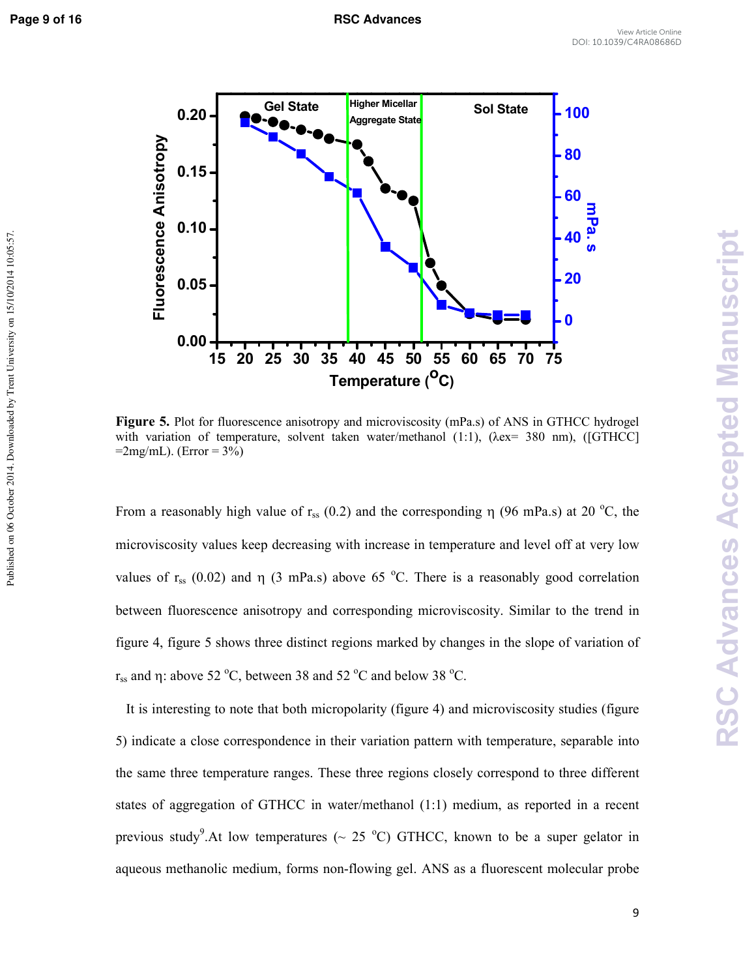

**Figure 5.** Plot for fluorescence anisotropy and microviscosity (mPa.s) of ANS in GTHCC hydrogel with variation of temperature, solvent taken water/methanol (1:1), ( $\lambda$ ex= 380 nm), ([GTHCC]  $=2$ mg/mL). (Error = 3%)

From a reasonably high value of  $r_{ss}$  (0.2) and the corresponding  $\eta$  (96 mPa.s) at 20 °C, the microviscosity values keep decreasing with increase in temperature and level off at very low values of  $r_{ss}$  (0.02) and  $\eta$  (3 mPa.s) above 65 °C. There is a reasonably good correlation between fluorescence anisotropy and corresponding microviscosity. Similar to the trend in figure 4, figure 5 shows three distinct regions marked by changes in the slope of variation of r<sub>ss</sub> and η: above 52 °C, between 38 and 52 °C and below 38 °C.

 It is interesting to note that both micropolarity (figure 4) and microviscosity studies (figure 5) indicate a close correspondence in their variation pattern with temperature, separable into the same three temperature ranges. These three regions closely correspond to three different states of aggregation of GTHCC in water/methanol (1:1) medium, as reported in a recent previous study<sup>9</sup>.At low temperatures ( $\sim$  25 °C) GTHCC, known to be a super gelator in aqueous methanolic medium, forms non-flowing gel. ANS as a fluorescent molecular probe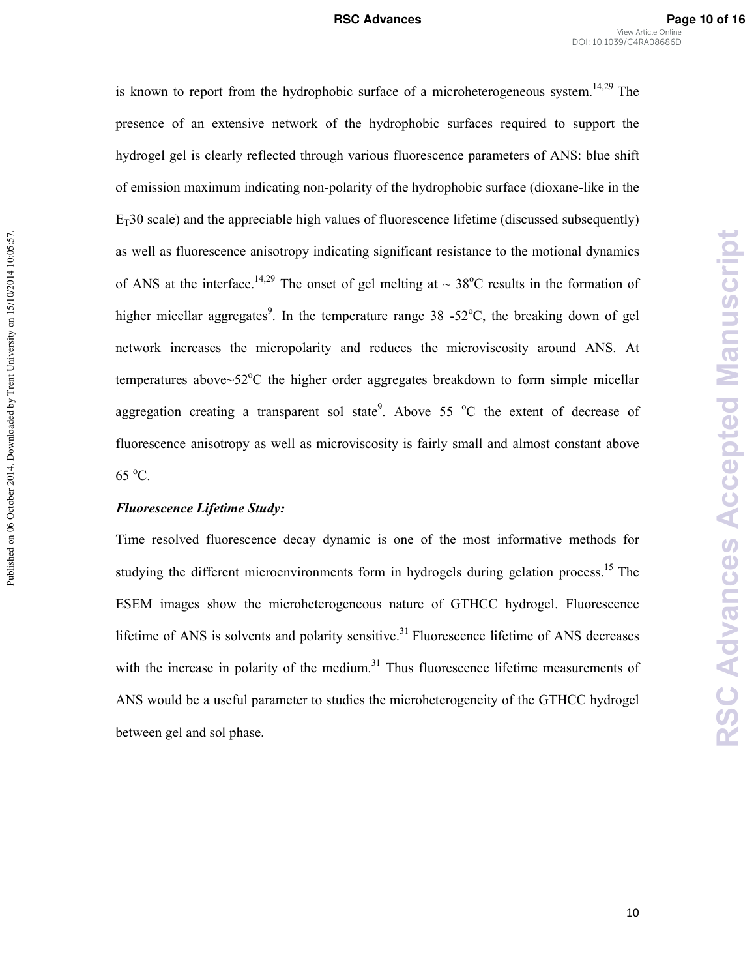is known to report from the hydrophobic surface of a microheterogeneous system.<sup>14,29</sup> The presence of an extensive network of the hydrophobic surfaces required to support the hydrogel gel is clearly reflected through various fluorescence parameters of ANS: blue shift of emission maximum indicating non-polarity of the hydrophobic surface (dioxane-like in the  $E_T$ 30 scale) and the appreciable high values of fluorescence lifetime (discussed subsequently) as well as fluorescence anisotropy indicating significant resistance to the motional dynamics of ANS at the interface.<sup>14,29</sup> The onset of gel melting at  $\sim 38^{\circ}$ C results in the formation of higher micellar aggregates<sup>9</sup>. In the temperature range 38 -52 $^{\circ}$ C, the breaking down of gel network increases the micropolarity and reduces the microviscosity around ANS. At temperatures above $\sim$ 52 $\degree$ C the higher order aggregates breakdown to form simple micellar aggregation creating a transparent sol state<sup>9</sup>. Above 55  $\degree$ C the extent of decrease of fluorescence anisotropy as well as microviscosity is fairly small and almost constant above 65 <sup>o</sup>C.

### **Fluorescence Lifetime Study:**

Published on 06 October 2014. Downloaded by Trent University on 15/10/2014 10:05:57.

Published on 06 October 2014. Downloaded by Trent University on 15/10/2014 10:05:57.

Time resolved fluorescence decay dynamic is one of the most informative methods for studying the different microenvironments form in hydrogels during gelation process.<sup>15</sup> The ESEM images show the microheterogeneous nature of GTHCC hydrogel. Fluorescence lifetime of ANS is solvents and polarity sensitive.<sup>31</sup> Fluorescence lifetime of ANS decreases with the increase in polarity of the medium. $31$  Thus fluorescence lifetime measurements of ANS would be a useful parameter to studies the microheterogeneity of the GTHCC hydrogel between gel and sol phase.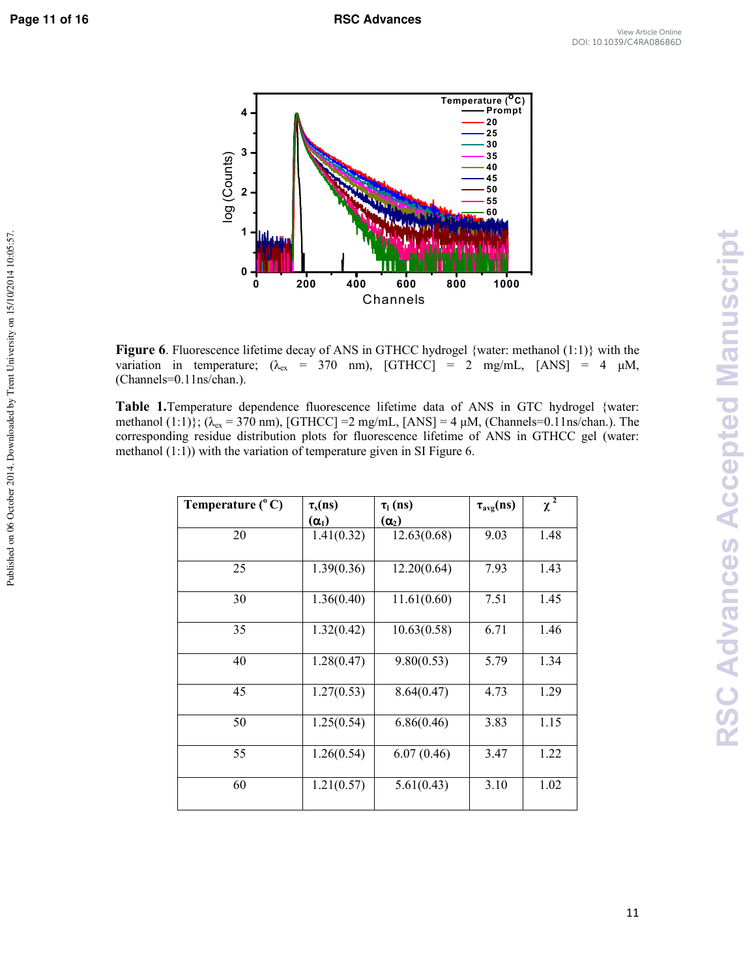Published on 06 October 2014. Downloaded by Trent University on 15/10/2014 10:05:57.



**Figure 6**. Fluorescence lifetime decay of ANS in GTHCC hydrogel {water: methanol (1:1)} with the variation in temperature; ( $\lambda_{ex}$  = 370 nm), [GTHCC] = 2 mg/mL, [ANS] = 4  $\mu$ M, (Channels=0.11ns/chan.).

**Table 1.**Temperature dependence fluorescence lifetime data of ANS in GTC hydrogel {water: methanol (1:1)}; ( $\lambda_{ex}$  = 370 nm), [GTHCC] = 2 mg/mL, [ANS] = 4  $\mu$ M, (Channels=0.11ns/chan.). The corresponding residue distribution plots for fluorescence lifetime of ANS in GTHCC gel (water: methanol (1:1)) with the variation of temperature given in SI Figure 6.

| Temperature $(^{\circ}C)$ | $\tau_s(ns)$ | $\tau_l$ (ns) | $\tau_{\text{avg}}(ns)$ | $\chi^2$ |
|---------------------------|--------------|---------------|-------------------------|----------|
|                           | $(\alpha_1)$ | $(\alpha_2)$  |                         |          |
| 20                        | 1.41(0.32)   | 12.63(0.68)   | 9.03                    | 1.48     |
| 25                        | 1.39(0.36)   | 12.20(0.64)   | 7.93                    | 1.43     |
| 30                        | 1.36(0.40)   | 11.61(0.60)   | 7.51                    | 1.45     |
| 35                        | 1.32(0.42)   | 10.63(0.58)   | 6.71                    | 1.46     |
| 40                        | 1.28(0.47)   | 9.80(0.53)    | 5.79                    | 1.34     |
| 45                        | 1.27(0.53)   | 8.64(0.47)    | 4.73                    | 1.29     |
| 50                        | 1.25(0.54)   | 6.86(0.46)    | 3.83                    | 1.15     |
| 55                        | 1.26(0.54)   | 6.07(0.46)    | 3.47                    | 1.22     |
| 60                        | 1.21(0.57)   | 5.61(0.43)    | 3.10                    | 1.02     |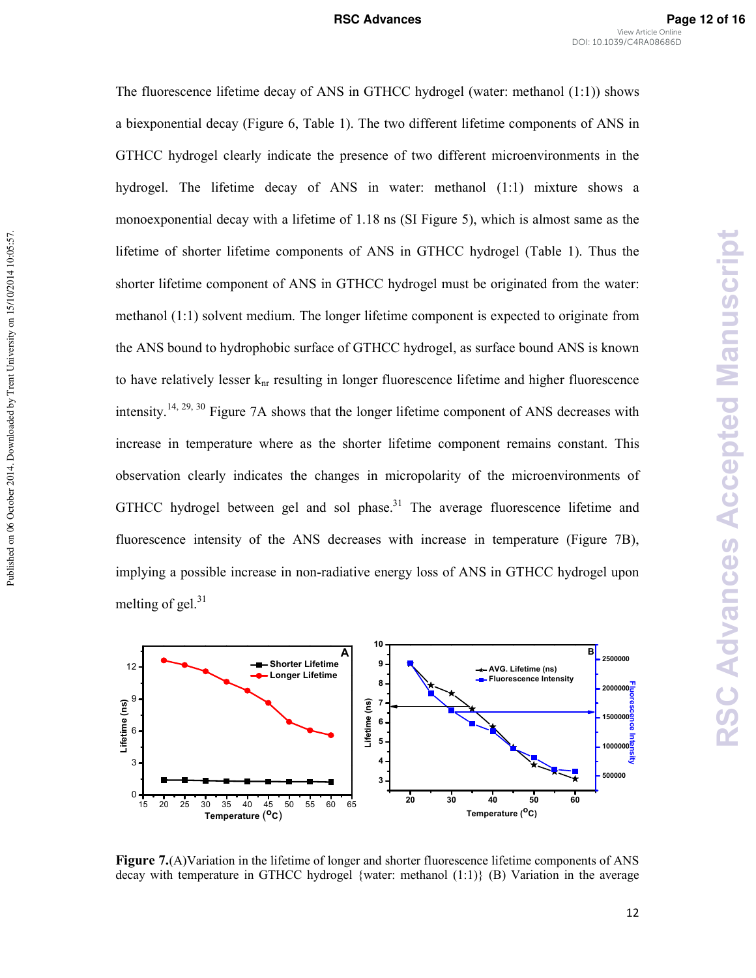The fluorescence lifetime decay of ANS in GTHCC hydrogel (water: methanol (1:1)) shows a biexponential decay (Figure 6, Table 1). The two different lifetime components of ANS in GTHCC hydrogel clearly indicate the presence of two different microenvironments in the hydrogel. The lifetime decay of ANS in water: methanol (1:1) mixture shows a monoexponential decay with a lifetime of 1.18 ns (SI Figure 5), which is almost same as the lifetime of shorter lifetime components of ANS in GTHCC hydrogel (Table 1). Thus the shorter lifetime component of ANS in GTHCC hydrogel must be originated from the water: methanol (1:1) solvent medium. The longer lifetime component is expected to originate from the ANS bound to hydrophobic surface of GTHCC hydrogel, as surface bound ANS is known to have relatively lesser  $k_{nr}$  resulting in longer fluorescence lifetime and higher fluorescence intensity.<sup>14, 29, 30</sup> Figure 7A shows that the longer lifetime component of ANS decreases with increase in temperature where as the shorter lifetime component remains constant. This observation clearly indicates the changes in micropolarity of the microenvironments of GTHCC hydrogel between gel and sol phase.<sup>31</sup> The average fluorescence lifetime and fluorescence intensity of the ANS decreases with increase in temperature (Figure 7B), implying a possible increase in non-radiative energy loss of ANS in GTHCC hydrogel upon melting of gel. $31$ 

Published on 06 October 2014. Downloaded by Trent University on 15/10/2014 10:05:57.

Published on 06 October 2014. Downloaded by Trent University on 15/10/2014 10:05:57.



**Figure 7.**(A)Variation in the lifetime of longer and shorter fluorescence lifetime components of ANS decay with temperature in GTHCC hydrogel {water: methanol  $(1:1)$ } (B) Variation in the average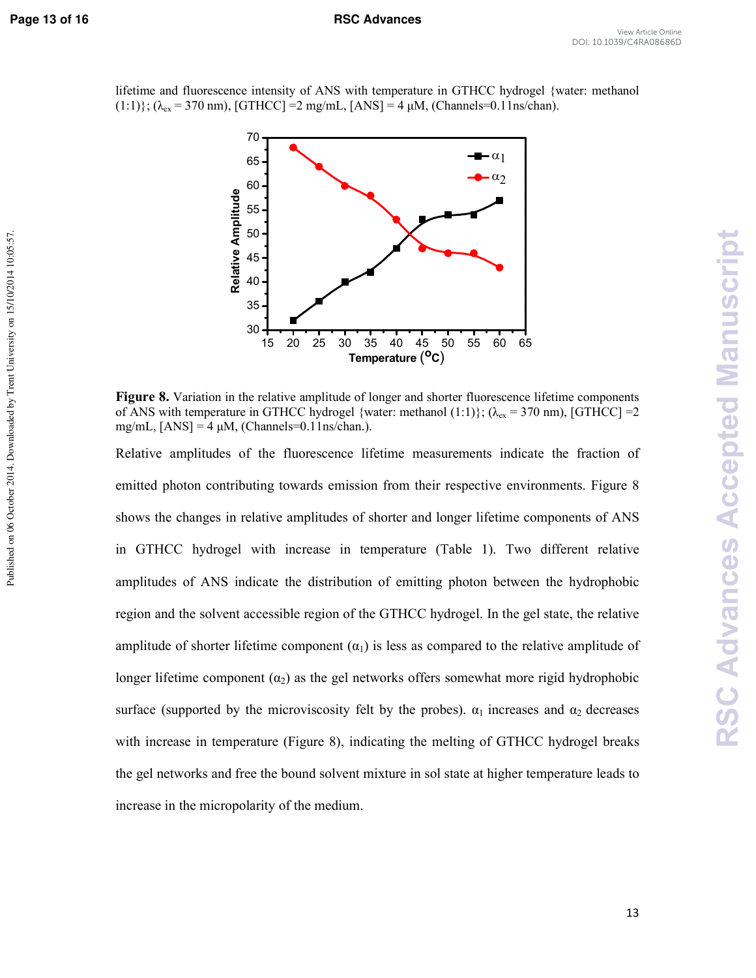Published on 06 October 2014. Downloaded by Trent University on 15/10/2014 10:05:57.

lifetime and fluorescence intensity of ANS with temperature in GTHCC hydrogel {water: methanol  $(1:1)$ ;  $(\lambda_{ex} = 370 \text{ nm})$ , [GTHCC] = 2 mg/mL, [ANS] = 4 µM, (Channels=0.11ns/chan).



**Figure 8.** Variation in the relative amplitude of longer and shorter fluorescence lifetime components of ANS with temperature in GTHCC hydrogel {water: methanol (1:1)}; ( $\lambda_{ex}$  = 370 nm), [GTHCC] =2 mg/mL,  $[ANS] = 4 \mu M$ , (Channels=0.11ns/chan.).

Relative amplitudes of the fluorescence lifetime measurements indicate the fraction of emitted photon contributing towards emission from their respective environments. Figure 8 shows the changes in relative amplitudes of shorter and longer lifetime components of ANS in GTHCC hydrogel with increase in temperature (Table 1). Two different relative amplitudes of ANS indicate the distribution of emitting photon between the hydrophobic region and the solvent accessible region of the GTHCC hydrogel. In the gel state, the relative amplitude of shorter lifetime component  $(\alpha_1)$  is less as compared to the relative amplitude of longer lifetime component  $(\alpha_2)$  as the gel networks offers somewhat more rigid hydrophobic surface (supported by the microviscosity felt by the probes).  $\alpha_1$  increases and  $\alpha_2$  decreases with increase in temperature (Figure 8), indicating the melting of GTHCC hydrogel breaks the gel networks and free the bound solvent mixture in sol state at higher temperature leads to increase in the micropolarity of the medium.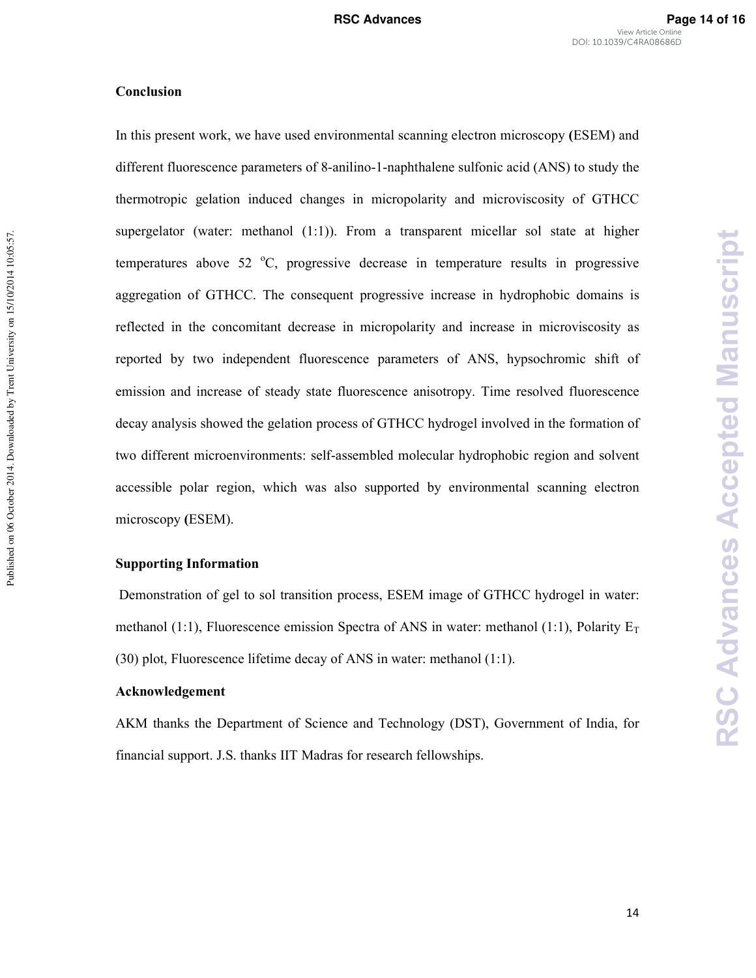### **Conclusion**

Published on 06 October 2014. Downloaded by Trent University on 15/10/2014 10:05:57.

Published on 06 October 2014. Downloaded by Trent University on 15/10/2014 10:05:57.

In this present work, we have used environmental scanning electron microscopy **(**ESEM) and different fluorescence parameters of 8-anilino-1-naphthalene sulfonic acid (ANS) to study the thermotropic gelation induced changes in micropolarity and microviscosity of GTHCC supergelator (water: methanol  $(1:1)$ ). From a transparent micellar sol state at higher temperatures above 52  $^{\circ}$ C, progressive decrease in temperature results in progressive aggregation of GTHCC. The consequent progressive increase in hydrophobic domains is reflected in the concomitant decrease in micropolarity and increase in microviscosity as reported by two independent fluorescence parameters of ANS, hypsochromic shift of emission and increase of steady state fluorescence anisotropy. Time resolved fluorescence decay analysis showed the gelation process of GTHCC hydrogel involved in the formation of two different microenvironments: self-assembled molecular hydrophobic region and solvent accessible polar region, which was also supported by environmental scanning electron microscopy **(**ESEM).

### **Supporting Information**

 Demonstration of gel to sol transition process, ESEM image of GTHCC hydrogel in water: methanol (1:1), Fluorescence emission Spectra of ANS in water: methanol (1:1), Polarity  $E_T$ (30) plot, Fluorescence lifetime decay of ANS in water: methanol (1:1).

# **Acknowledgement**

AKM thanks the Department of Science and Technology (DST), Government of India, for financial support. J.S. thanks IIT Madras for research fellowships.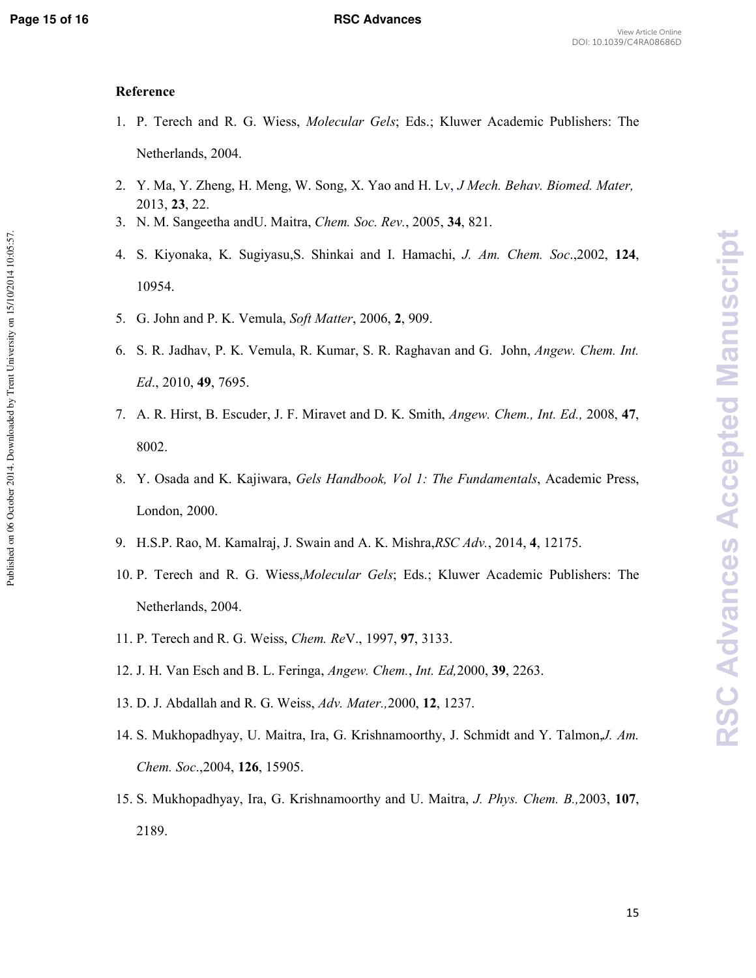Published on 06 October 2014. Downloaded by Trent University on 15/10/2014 10:05:57.

### **Reference**

- 1. P. Terech and R. G. Wiess, *Molecular Gels*; Eds.; Kluwer Academic Publishers: The Netherlands, 2004.
- 2. Y. Ma, Y. Zheng, H. Meng, W. Song, X. Yao and H. Lv, *J Mech. Behav. Biomed. Mater,* 2013, **23**, 22.
- 3. N. M. Sangeetha andU. Maitra, *Chem. Soc. Rev.*, 2005, **34**, 821.
- 4. S. Kiyonaka, K. Sugiyasu,S. Shinkai and I. Hamachi, *J. Am. Chem. Soc*.,2002, **124**, 10954.
- 5. G. John and P. K. Vemula, *Soft Matter*, 2006, **2**, 909.
- 6. S. R. Jadhav, P. K. Vemula, R. Kumar, S. R. Raghavan and G. John, *Angew. Chem. Int. Ed*., 2010, **49**, 7695.
- 7. A. R. Hirst, B. Escuder, J. F. Miravet and D. K. Smith, *Angew. Chem., Int. Ed.,* 2008, **47**, 8002.
- 8. Y. Osada and K. Kajiwara, *Gels Handbook, Vol 1: The Fundamentals*, Academic Press, London, 2000.
- 9. H.S.P. Rao, M. Kamalraj, J. Swain and A. K. Mishra,*RSC Adv.*, 2014, **4**, 12175.
- 10. P. Terech and R. G. Wiess,*Molecular Gels*; Eds.; Kluwer Academic Publishers: The Netherlands, 2004.
- 11. P. Terech and R. G. Weiss, *Chem. Re*V., 1997, **97**, 3133.
- 12. J. H. Van Esch and B. L. Feringa, *Angew. Chem.*, *Int. Ed,*2000, **39**, 2263.
- 13. D. J. Abdallah and R. G. Weiss, *Adv. Mater.,*2000, **12**, 1237.
- 14. S. Mukhopadhyay, U. Maitra, Ira, G. Krishnamoorthy, J. Schmidt and Y. Talmon,*J. Am. Chem. Soc*.,2004, **126**, 15905.
- 15. S. Mukhopadhyay, Ira, G. Krishnamoorthy and U. Maitra, *J. Phys. Chem. B.,*2003, **107**, 2189.